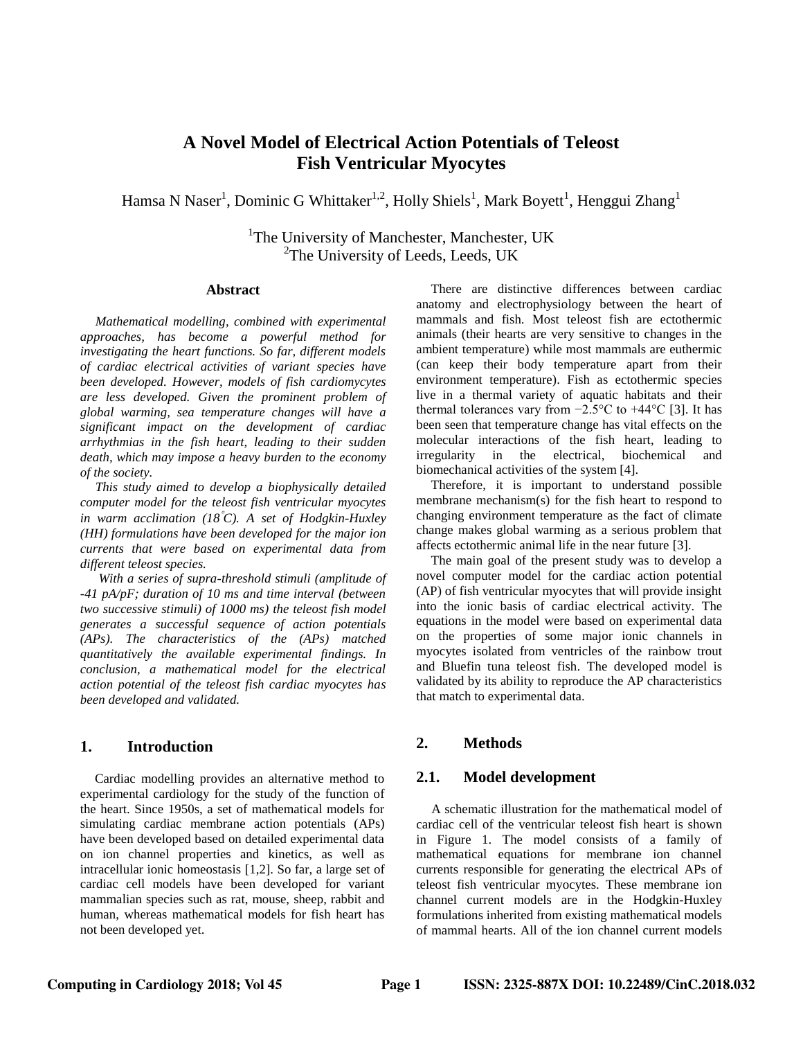# **A Novel Model of Electrical Action Potentials of Teleost Fish Ventricular Myocytes**

Hamsa N Naser<sup>1</sup>, Dominic G Whittaker<sup>1,2</sup>, Holly Shiels<sup>1</sup>, Mark Boyett<sup>1</sup>, Henggui Zhang<sup>1</sup>

<sup>1</sup>The University of Manchester, Manchester, UK <sup>2</sup>The University of Leeds, Leeds, UK

#### **Abstract**

*Mathematical modelling, combined with experimental approaches, has become a powerful method for investigating the heart functions. So far, different models of cardiac electrical activities of variant species have been developed. However, models of fish cardiomycytes are less developed. Given the prominent problem of global warming, sea temperature changes will have a significant impact on the development of cardiac arrhythmias in the fish heart, leading to their sudden death, which may impose a heavy burden to the economy of the society.*

*This study aimed to develop a biophysically detailed computer model for the teleost fish ventricular myocytes in warm acclimation (18C). A set of Hodgkin-Huxley (HH) formulations have been developed for the major ion currents that were based on experimental data from different teleost species.*

*With a series of supra-threshold stimuli (amplitude of -41 pA/pF; duration of 10 ms and time interval (between two successive stimuli) of 1000 ms) the teleost fish model generates a successful sequence of action potentials (APs). The characteristics of the (APs) matched quantitatively the available experimental findings. In conclusion, a mathematical model for the electrical action potential of the teleost fish cardiac myocytes has been developed and validated.*

# **1. Introduction**

Cardiac modelling provides an alternative method to experimental cardiology for the study of the function of the heart. Since 1950s, a set of mathematical models for simulating cardiac membrane action potentials (APs) have been developed based on detailed experimental data on ion channel properties and kinetics, as well as intracellular ionic homeostasis [1,2]. So far, a large set of cardiac cell models have been developed for variant mammalian species such as rat, mouse, sheep, rabbit and human, whereas mathematical models for fish heart has not been developed yet.

There are distinctive differences between cardiac anatomy and electrophysiology between the heart of mammals and fish. Most teleost fish are ectothermic animals (their hearts are very sensitive to changes in the ambient temperature) while most mammals are euthermic (can keep their body temperature apart from their environment temperature). Fish as ectothermic species live in a thermal variety of aquatic habitats and their thermal tolerances vary from  $-2.5$ °C to  $+44$ °C [3]. It has been seen that temperature change has vital effects on the molecular interactions of the fish heart, leading to irregularity in the electrical, biochemical and biomechanical activities of the system [4].

Therefore, it is important to understand possible membrane mechanism(s) for the fish heart to respond to changing environment temperature as the fact of climate change makes global warming as a serious problem that affects ectothermic animal life in the near future [3].

The main goal of the present study was to develop a novel computer model for the cardiac action potential (AP) of fish ventricular myocytes that will provide insight into the ionic basis of cardiac electrical activity. The equations in the model were based on experimental data on the properties of some major ionic channels in myocytes isolated from ventricles of the rainbow trout and Bluefin tuna teleost fish. The developed model is validated by its ability to reproduce the AP characteristics that match to experimental data.

# **2. Methods**

#### **2.1. Model development**

A schematic illustration for the mathematical model of cardiac cell of the ventricular teleost fish heart is shown in Figure 1. The model consists of a family of mathematical equations for membrane ion channel currents responsible for generating the electrical APs of teleost fish ventricular myocytes. These membrane ion channel current models are in the Hodgkin-Huxley formulations inherited from existing mathematical models of mammal hearts. All of the ion channel current models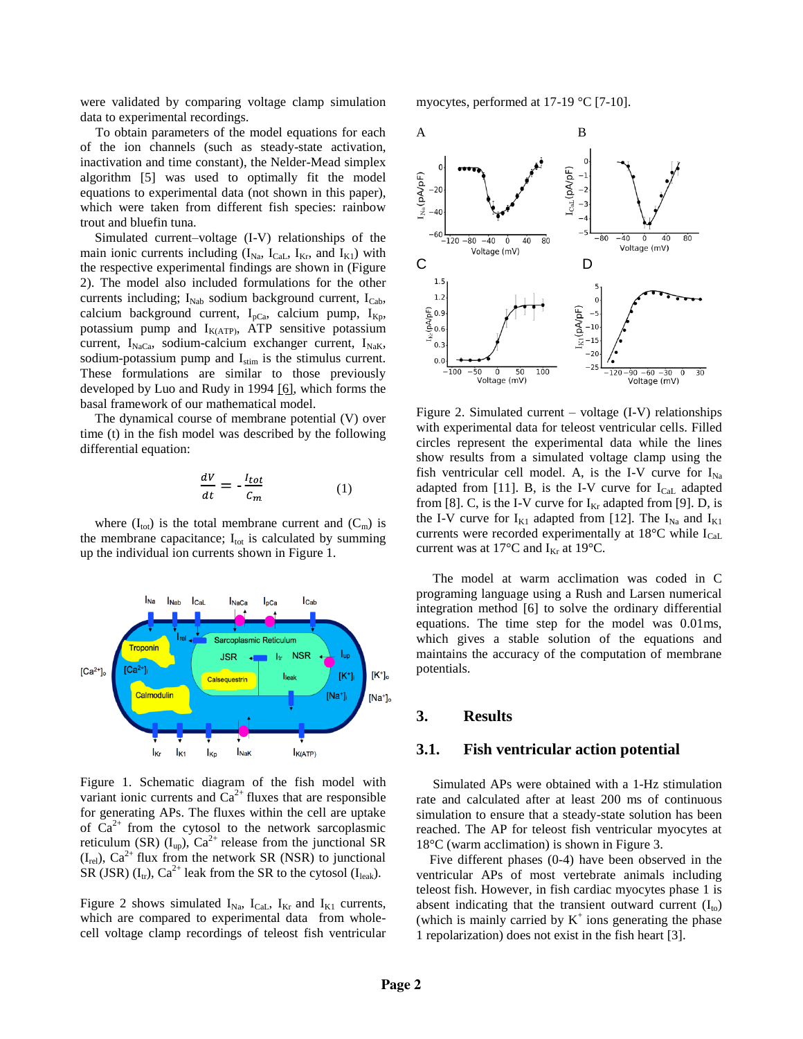were validated by comparing voltage clamp simulation data to experimental recordings.

To obtain parameters of the model equations for each of the ion channels (such as steady-state activation, inactivation and time constant), the Nelder-Mead simplex algorithm [5] was used to optimally fit the model equations to experimental data (not shown in this paper), which were taken from different fish species: rainbow trout and bluefin tuna.

Simulated current–voltage (I-V) relationships of the main ionic currents including  $(I_{Na}, I_{Cal}, I_{Kr},$  and  $I_{K1})$  with the respective experimental findings are shown in (Figure 2). The model also included formulations for the other currents including;  $I_{Nab}$  sodium background current,  $I_{Cab}$ , calcium background current,  $I_{pCa}$ , calcium pump,  $I_{Kp}$ , potassium pump and  $I_{K(ATP)}$ , ATP sensitive potassium current,  $I_{NaCa}$ , sodium-calcium exchanger current,  $I_{NaK}$ , sodium-potassium pump and  $I_{stim}$  is the stimulus current. These formulations are similar to those previously developed by Luo and Rudy in 1994 [6], which forms the basal framework of our mathematical model.

The dynamical course of membrane potential (V) over time (t) in the fish model was described by the following differential equation:

$$
\frac{dV}{dt} = -\frac{l_{tot}}{c_m} \tag{1}
$$

where  $(I_{\text{tot}})$  is the total membrane current and  $(C_{\text{m}})$  is the membrane capacitance;  $I_{\text{tot}}$  is calculated by summing up the individual ion currents shown in Figure 1.



Figure 1. Schematic diagram of the fish model with variant ionic currents and  $Ca^{2+}$  fluxes that are responsible for generating APs. The fluxes within the cell are uptake of  $Ca^{2+}$  from the cytosol to the network sarcoplasmic reticulum (SR)  $(I_{up})$ ,  $Ca^{2+}$  release from the junctional SR  $(I_{rel})$ ,  $Ca^{2+}$  flux from the network SR (NSR) to junctional SR (JSR)  $(I_{tr})$ , Ca<sup>2+</sup> leak from the SR to the cytosol  $(I_{leak})$ .

Figure 2 shows simulated  $I_{Na}$ ,  $I_{Cal}$ ,  $I_{Kr}$  and  $I_{K1}$  currents, which are compared to experimental data from wholecell voltage clamp recordings of teleost fish ventricular myocytes, performed at 17-19 °C [7-10].



Figure 2. Simulated current – voltage (I-V) relationships with experimental data for teleost ventricular cells. Filled circles represent the experimental data while the lines show results from a simulated voltage clamp using the fish ventricular cell model. A, is the I-V curve for  $I_{Na}$ adapted from [11]. B, is the I-V curve for  $I_{\text{Cal}}$  adapted from [8]. C, is the I-V curve for  $I_{Kr}$  adapted from [9]. D, is the I-V curve for  $I_{K1}$  adapted from [12]. The  $I_{Na}$  and  $I_{K1}$ currents were recorded experimentally at  $18^{\circ}$ C while  $I_{Cal}$ current was at 17 $\rm ^{\circ}C$  and I<sub>Kr</sub> at 19 $\rm ^{\circ}C$ .

 The model at warm acclimation was coded in C programing language using a Rush and Larsen numerical integration method [6] to solve the ordinary differential equations. The time step for the model was 0.01ms, which gives a stable solution of the equations and maintains the accuracy of the computation of membrane potentials.

#### **3. Results**

#### **3.1. Fish ventricular action potential**

 Simulated APs were obtained with a 1-Hz stimulation rate and calculated after at least 200 ms of continuous simulation to ensure that a steady-state solution has been reached. The AP for teleost fish ventricular myocytes at 18°C (warm acclimation) is shown in Figure 3.

 Five different phases (0-4) have been observed in the ventricular APs of most vertebrate animals including teleost fish. However, in fish cardiac myocytes phase 1 is absent indicating that the transient outward current  $(I_{to})$ (which is mainly carried by  $K^+$  ions generating the phase 1 repolarization) does not exist in the fish heart [3].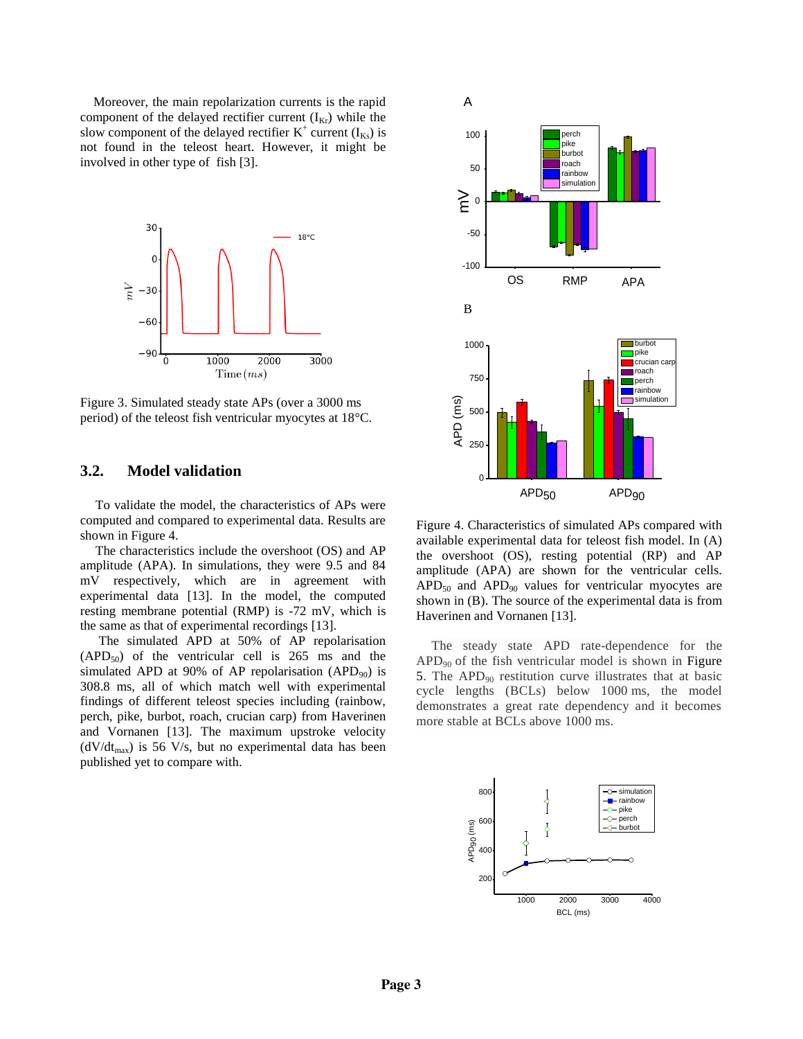Moreover, the main repolarization currents is the rapid component of the delayed rectifier current  $(I_{Kr})$  while the slow component of the delayed rectifier  $K^+$  current  $(I_{Ks})$  is not found in the teleost heart. However, it might be involved in other type of fish [3].



Figure 3. Simulated steady state APs (over a 3000 ms period) of the teleost fish ventricular myocytes at 18°C.

# **3.2. Model validation**

To validate the model, the characteristics of APs were computed and compared to experimental data. Results are shown in Figure 4.

The characteristics include the overshoot (OS) and AP amplitude (APA). In simulations, they were 9.5 and 84 mV respectively, which are in agreement with experimental data [13]. In the model, the computed resting membrane potential (RMP) is -72 mV, which is the same as that of experimental recordings [13].

The simulated APD at 50% of AP repolarisation  $(APD<sub>50</sub>)$  of the ventricular cell is 265 ms and the simulated APD at 90% of AP repolarisation (APD<sub>90</sub>) is 308.8 ms, all of which match well with experimental findings of different teleost species including (rainbow, perch, pike, burbot, roach, crucian carp) from Haverinen and Vornanen [13]. The maximum upstroke velocity  $(dV/dt<sub>max</sub>)$  is 56 V/s, but no experimental data has been published yet to compare with.



Figure 4. Characteristics of simulated APs compared with available experimental data for teleost fish model. In (A) the overshoot (OS), resting potential (RP) and AP amplitude (APA) are shown for the ventricular cells.  $APD<sub>50</sub>$  and  $APD<sub>90</sub>$  values for ventricular myocytes are shown in (B). The source of the experimental data is from Haverinen and Vornanen [13].

The steady state APD rate-dependence for the  $APD<sub>90</sub>$  of the fish ventricular model is shown in Figure 5. The  $APD_{90}$  restitution curve illustrates that at basic cycle lengths (BCLs) below 1000 ms, the model demonstrates a great rate dependency and it becomes more stable at BCLs above 1000 ms.